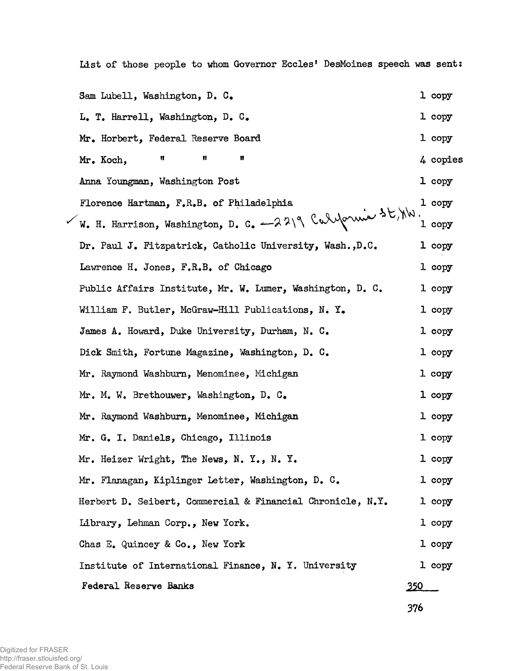**List of those people to whom Governor Eceles' DesMoines speech was sent:**

**Sam Lubell, Washington, D. G. 1 copy L. T. Harrell, Washington, D. C. 1 copy Mr. Horbert, Federal Reserve Board 1 copy Mr. Koch, ■ « « 4 copies Anna Youngman, Washington Post 1 copy Florence Hartman, F.R.B. of Philadelphia 1** *\** **W. H. Harrison, Washington, D. C. -—**  $\forall$  $\land$  **\**  $\lor$  $\lor$  $\lor$  $\lor$  $\lor$  $\lor$  $\lor$  **1 copy copy Dr. Paul J. Fitzpatrick, Catholic University, Wash.,D .C. 1 copy Lawrence H. Jones, F.R.B, of Chicago 1 copy** Public Affairs Institute, Mr. W. Lumer, Washington, D. C. 1 copy **William F. Butler, McGraw-Hill Publications, N. Y. 1 copy James A. Howard, Duke University, Durham, N. C. 1 copy Dick Smith, Fortune Magazine, Washington, D. G. 1 copy Mr. Raymond Washburn, Menominee, Michigan 1 copy Mr. M. W. Brethouwer, Washington, D. C, 1 copy Mr. Raymond Washburn, Menominee, Michigan 1 copy Mr. G. I. Daniels, Chicago, Illinois l copy Mr. Heizer Wright, The News, N. Y., N. Y. 1 copy Mr. Flanagan, Kiplinger Letter, Washington, D. G. 1 copy Herbert D. Seibert, Commercial & Financial Chronicle, N.Y. 1 copy Library, Lehman Corp., New York. 1 copy Chas E. Quincey & Co., New York 1 copy Institute of International Finance, N. Y. University 1 copy Federal Reserve Banks 250**

**376**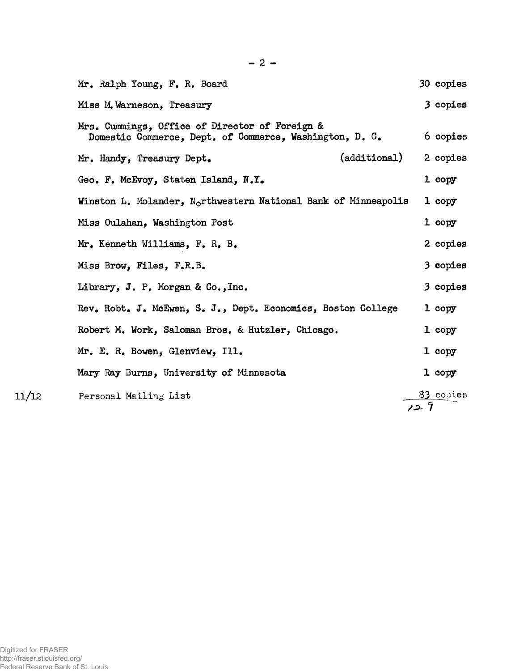| Mr. Ralph Young, F. R. Board                                                                              | 30 copies        |
|-----------------------------------------------------------------------------------------------------------|------------------|
| Miss M. Warneson, Treasury                                                                                | 3 copies         |
| Mrs. Cummings, Office of Director of Foreign &<br>Domestic Commerce, Dept. of Commerce, Washington, D. C. | 6 copies         |
| (additional)<br>Mr. Handy, Treasury Dept.                                                                 | 2 copies         |
| Geo. F. McEvoy, Staten Island, N.Y.                                                                       | 1 copy           |
| Winston L. Molander, N <sub>o</sub> rthwestern National Bank of Minneapolis                               | $1$ copy         |
| Miss Oulahan, Washington Post                                                                             | $1$ copy         |
| Mr. Kenneth Williams, F. R. B.                                                                            | 2 copies         |
| Miss Brow, Files, F.R.B.                                                                                  | 3 copies         |
| Library, J. P. Morgan & Co., Inc.                                                                         | 3 copies         |
| Rev. Robt. J. McEwen, S. J., Dept. Economics, Boston College                                              | 1 copy           |
| Robert M. Work, Saloman Bros. & Hutzler, Chicago.                                                         | 1 copy           |
| Mr. E. R. Bowen, Glenview, Ill.                                                                           | 1 copy           |
| Mary Ray Burns, University of Minnesota                                                                   | 1 copy           |
| Personal Mailing List                                                                                     | 83 copies<br>129 |

11/12